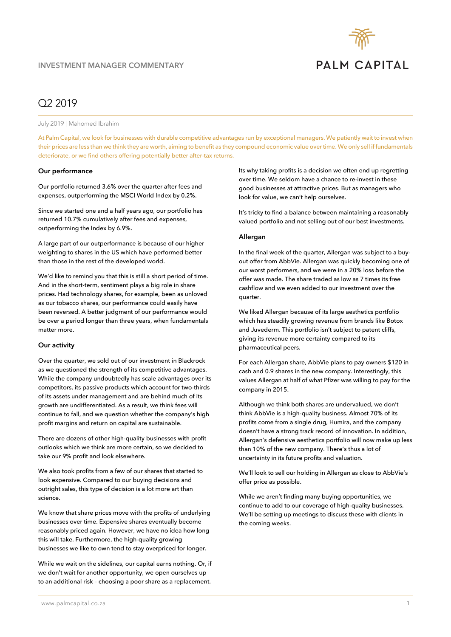

# Q2 2019

July 2019 | Mahomed Ibrahim

At Palm Capital, we look for businesses with durable competitive advantages run by exceptional managers. We patiently wait to invest when their prices are less than we think they are worth, aiming to benefit as they compound economic value over time. We only sell if fundamentals deteriorate, or we find others offering potentially better after-tax returns.

#### **Our performance**

Our portfolio returned 3.6% over the quarter after fees and expenses, outperforming the MSCI World Index by 0.2%.

Since we started one and a half years ago, our portfolio has returned 10.7% cumulatively after fees and expenses, outperforming the Index by 6.9%.

A large part of our outperformance is because of our higher weighting to shares in the US which have performed better than those in the rest of the developed world.

We'd like to remind you that this is still a short period of time. And in the short-term, sentiment plays a big role in share prices. Had technology shares, for example, been as unloved as our tobacco shares, our performance could easily have been reversed. A better judgment of our performance would be over a period longer than three years, when fundamentals matter more.

#### **Our activity**

Over the quarter, we sold out of our investment in Blackrock as we questioned the strength of its competitive advantages. While the company undoubtedly has scale advantages over its competitors, its passive products which account for two-thirds of its assets under management and are behind much of its growth are undifferentiated. As a result, we think fees will continue to fall, and we question whether the company's high profit margins and return on capital are sustainable.

There are dozens of other high-quality businesses with profit outlooks which we think are more certain, so we decided to take our 9% profit and look elsewhere.

We also took profits from a few of our shares that started to look expensive. Compared to our buying decisions and outright sales, this type of decision is a lot more art than science.

We know that share prices move with the profits of underlying businesses over time. Expensive shares eventually become reasonably priced again. However, we have no idea how long this will take. Furthermore, the high-quality growing businesses we like to own tend to stay overpriced for longer.

While we wait on the sidelines, our capital earns nothing. Or, if we don't wait for another opportunity, we open ourselves up to an additional risk – choosing a poor share as a replacement.

Its why taking profits is a decision we often end up regretting over time. We seldom have a chance to re-invest in these good businesses at attractive prices. But as managers who look for value, we can't help ourselves.

It's tricky to find a balance between maintaining a reasonably valued portfolio and not selling out of our best investments.

### **Allergan**

In the final week of the quarter, Allergan was subject to a buyout offer from AbbVie. Allergan was quickly becoming one of our worst performers, and we were in a 20% loss before the offer was made. The share traded as low as 7 times its free cashflow and we even added to our investment over the quarter.

We liked Allergan because of its large aesthetics portfolio which has steadily growing revenue from brands like Botox and Juvederm. This portfolio isn't subject to patent cliffs, giving its revenue more certainty compared to its pharmaceutical peers.

For each Allergan share, AbbVie plans to pay owners \$120 in cash and 0.9 shares in the new company. Interestingly, this values Allergan at half of what Pfizer was willing to pay for the company in 2015.

Although we think both shares are undervalued, we don't think AbbVie is a high-quality business. Almost 70% of its profits come from a single drug, Humira, and the company doesn't have a strong track record of innovation. In addition, Allergan's defensive aesthetics portfolio will now make up less than 10% of the new company. There's thus a lot of uncertainty in its future profits and valuation.

We'll look to sell our holding in Allergan as close to AbbVie's offer price as possible.

While we aren't finding many buying opportunities, we continue to add to our coverage of high-quality businesses. We'll be setting up meetings to discuss these with clients in the coming weeks.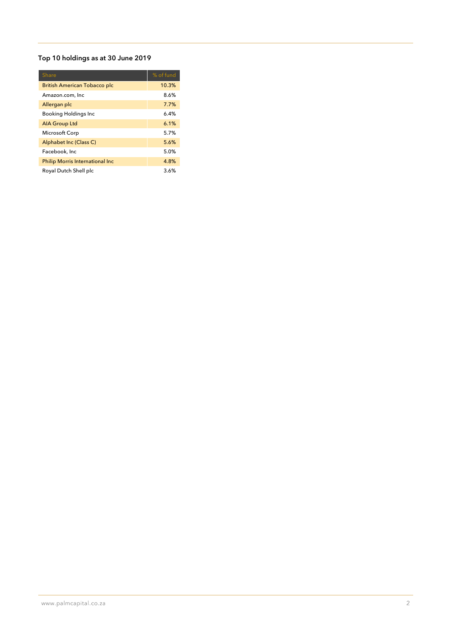## **Top 10 holdings as at 30 June 2019**

| <b>Share</b>                            | % of fund |
|-----------------------------------------|-----------|
| <b>British American Tobacco plc</b>     | 10.3%     |
| Amazon.com, Inc                         | 8.6%      |
| Allergan plc                            | 7.7%      |
| <b>Booking Holdings Inc</b>             | $6.4\%$   |
| <b>AIA Group Ltd</b>                    | 6.1%      |
| Microsoft Corp                          | 5.7%      |
| Alphabet Inc (Class C)                  | 5.6%      |
| Facebook, Inc                           | 5.0%      |
| <b>Philip Morris International Inc.</b> | 4.8%      |
| Royal Dutch Shell plc                   | 3.6%      |